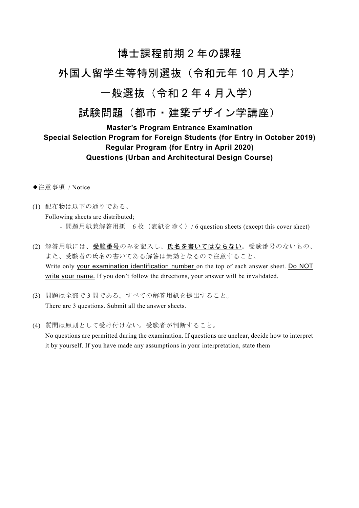# 博士課程前期2年の課程

# 外国人留学生等特別選抜 (令和元年10月入学)

## 一般選抜 (令和2年4月入学)

# 試験問題 (都市・建築デザイン学講座)

## **Master's Program Entrance Examination** Special Selection Program for Foreign Students (for Entry in October 2019) Regular Program (for Entry in April 2020) **Questions (Urban and Architectural Design Course)**

- ◆注意事項 / Notice
- (1) 配布物は以下の通りである。 Following sheets are distributed; - 問題用紙兼解答用紙 6 枚(表紙を除く)/ 6 question sheets (except this cover sheet)
- (2) 解答用紙には、受験番号のみを記入し、氏名を書いてはならない。受験番号のないもの、 また、受験者の氏名の書いてある解答は無効となるので注意すること。 Write only your examination identification number on the top of each answer sheet. Do NOT write your name. If you don't follow the directions, your answer will be invalidated.
- (3) 問題は全部で3問である。すべての解答用紙を提出すること。 There are 3 questions. Submit all the answer sheets.
- (4) 質問は原則として受け付けない。受験者が判断すること。 No questions are permitted during the examination. If questions are unclear, decide how to interpret it by yourself. If you have made any assumptions in your interpretation, state them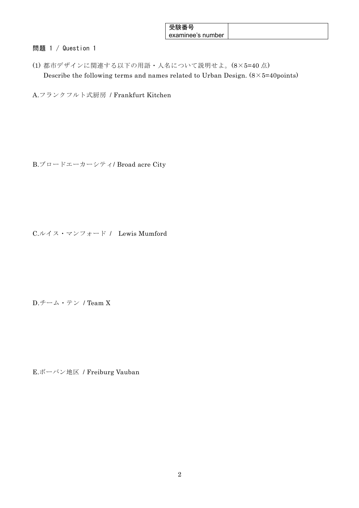| 安缺俗亏              |  |
|-------------------|--|
| examinee's number |  |

## 問題 1 / Question 1

(1) 都市デザインに関連する以下の用語·人名について説明せよ。 $(8 \times 5 = 40)$ 点) Describe the following terms and names related to Urban Design.  $(8 \times 5 = 40$  points)

A.フランクフルト式厨房 / Frankfurt Kitchen

B.ブロードエーカーシティ/ Broad acre City

C.ルイス・マンフォード / Lewis Mumford

D.チーム・テン / Team X

E.ボーバン地区 / Freiburg Vauban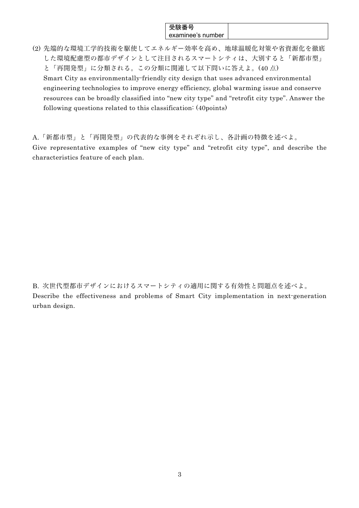### 受験番号 examinee's number

(2) 先端的な環境工学的技術を駆使してエネルギー効率を高め、地球温暖化対策や省資源化を徹底 した環境配慮型の都市デザインとして注目されるスマートシティは、大別すると「新都市型」 と「再開発型」に分類される。この分類に関連して以下問いに答えよ。(40 Å)

Smart City as environmentally-friendly city design that uses advanced environmental engineering technologies to improve energy efficiency, global warming issue and conserve resources can be broadly classified into "new city type" and "retrofit city type". Answer the following questions related to this classification: (40points)

A.「新都市型」と「再開発型」の代表的な事例をそれぞれ示し、各計画の特徴を述べよ。 Give representative examples of "new city type" and "retrofit city type", and describe the characteristics feature of each plan.

B. 次世代型都市デザインにおけるスマートシティの適用に関する有効性と問題点を述べよ。 Describe the effectiveness and problems of Smart City implementation in next-generation urban design.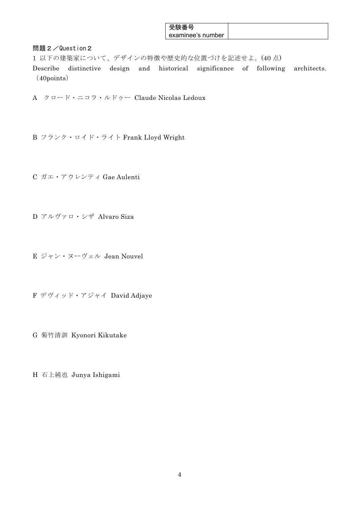| 文歌佾方              |  |
|-------------------|--|
| examinee's number |  |

問題2/Question2

1 以下の建築家について、デザインの特徴や歴史的な位置づけを記述せよ。(40点)

Describe distinctive design and historical significance of following architects.  $(40 points)$ 

- A クロード・ニコラ・ルドゥー Claude Nicolas Ledoux
- B フランク・ロイド・ライト Frank Lloyd Wright
- C ガエ・アウレンティ Gae Aulenti
- D アルヴァロ・シザ Alvaro Siza
- E ジャン・ヌーヴェル Jean Nouvel
- F デヴィッド・アジャイ David Adjaye
- G 菊竹清訓 Kyonori Kikutake
- H 石上純也 Junya Ishigami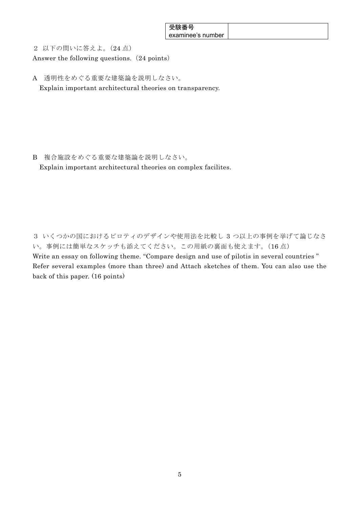| <b>ㅍ f҈<del></del></b> 포 ㄴ<br>安缺省亏 |  |
|------------------------------------|--|
| examinee's number                  |  |

2 以下の問いに答えよ。(24点)

Answer the following questions. (24 points)

A 透明性をめぐる重要な建築論を説明しなさい。 Explain important architectural theories on transparency.

B 複合施設をめぐる重要な建築論を説明しなさい。

Explain important architectural theories on complex facilites.

3 いくつかの国におけるピロティのデザインや使用法を比較し 3 つ以上の事例を挙げて論じなさ い。事例には簡単なスケッチも添えてください。この用紙の裏面も使えます。(16点) Write an essay on following theme. "Compare design and use of pilotis in several countries" Refer several examples (more than three) and Attach sketches of them. You can also use the back of this paper. (16 points)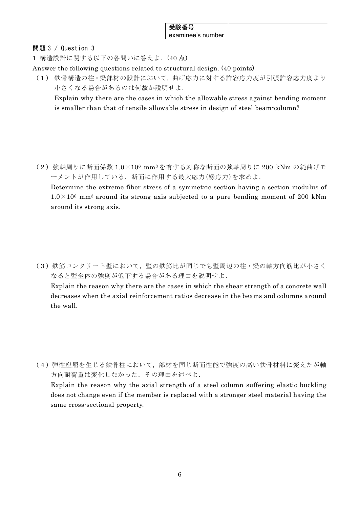| 受験番号              |  |
|-------------------|--|
| examinee's number |  |

### 問題 3 / Question 3

1 構造設計に関する以下の各問いに答えよ. (40点)

Answer the following questions related to structural design. (40 points)

(1) 鉄骨構造の柱·梁部材の設計において、曲げ応力に対する許容応力度が引張許容応力度より 小さくなる場合があるのは何故か説明せよ.

Explain why there are the cases in which the allowable stress against bending moment is smaller than that of tensile allowable stress in design of steel beam-column?

(2) 強軸周りに断面係数 1.0×106 mm3を有する対称な断面の強軸周りに 200 kNm の純曲げモ ーメントが作用している. 断面に作用する最大応力(縁応力)を求めよ.

Determine the extreme fiber stress of a symmetric section having a section modulus of  $1.0 \times 10^6$  mm<sup>3</sup> around its strong axis subjected to a pure bending moment of 200 kNm around its strong axis.

(3) 鉄筋コンクリート壁において、壁の鉄筋比が同じでも壁周辺の柱・梁の軸方向筋比が小さく なると壁全体の強度が低下する場合がある理由を説明せよ.

Explain the reason why there are the cases in which the shear strength of a concrete wall decreases when the axial reinforcement ratios decrease in the beams and columns around the wall.

(4) 弾性座屈を生じる鉄骨柱において、部材を同じ断面性能で強度の高い鉄骨材料に変えたが軸 方向耐荷重は変化しなかった. その理由を述べよ.

Explain the reason why the axial strength of a steel column suffering elastic buckling does not change even if the member is replaced with a stronger steel material having the same cross-sectional property.